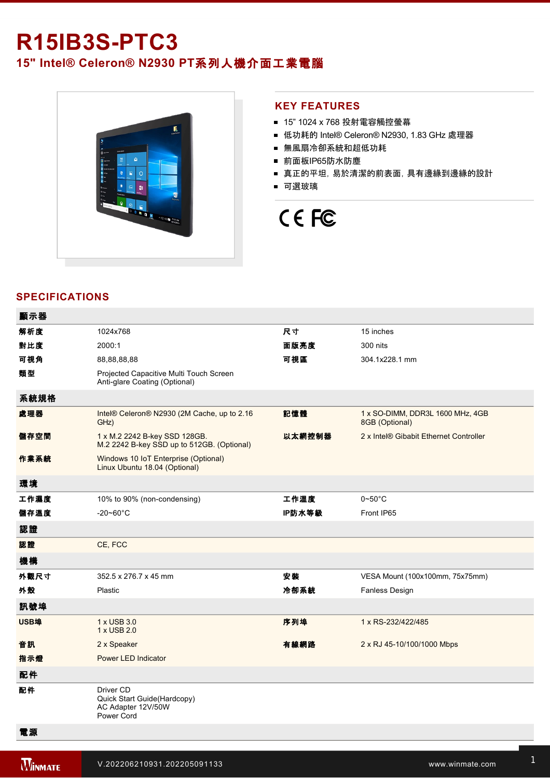# **R15IB3S-PTC3**

## **15" Intel® Celeron® N2930 PT**系列人機介面工業電腦



#### **KEY FEATURES**

- 15" 1024 x 768 投射電容觸控螢幕
- 低功耗的 Intel® Celeron® N2930, 1.83 GHz 處理器
- 無風扇冷卻系統和超低功耗
- 前面板IP65防水防塵
- 真正的平坦,易於清潔的前表面,具有邊緣到邊緣的設計
- 可選玻璃



#### **SPECIFICATIONS**

| 顯示器         |                                                                              |        |                                                                 |
|-------------|------------------------------------------------------------------------------|--------|-----------------------------------------------------------------|
| 解析度         | 1024x768                                                                     | 尺寸     | 15 inches                                                       |
| 對比度         | 2000:1                                                                       | 面版亮度   | 300 nits                                                        |
| 可視角         | 88,88,88,88                                                                  | 可視區    | 304.1x228.1 mm                                                  |
| 類型          | Projected Capacitive Multi Touch Screen<br>Anti-glare Coating (Optional)     |        |                                                                 |
| 系統規格        |                                                                              |        |                                                                 |
| 處理器         | Intel® Celeron® N2930 (2M Cache, up to 2.16<br>GHz)                          | 記憶體    | 1 x SO-DIMM, DDR3L 1600 MHz, 4GB<br>8GB (Optional)              |
| 儲存空間        | 1 x M.2 2242 B-key SSD 128GB.<br>M.2 2242 B-key SSD up to 512GB. (Optional)  | 以太網控制器 | 2 x Intel® Gibabit Ethernet Controller                          |
| 作業系統        | Windows 10 IoT Enterprise (Optional)<br>Linux Ubuntu 18.04 (Optional)        |        |                                                                 |
| 環境          |                                                                              |        |                                                                 |
| 工作濕度        | 10% to 90% (non-condensing)                                                  | 工作溫度   | $0\negthinspace\negthinspace\negthinspace 50^{\circ}\mathrm{C}$ |
| 儲存溫度        | $-20 - 60^{\circ}$ C                                                         | IP防水等級 | Front IP65                                                      |
| 認證          |                                                                              |        |                                                                 |
| 認證          | CE, FCC                                                                      |        |                                                                 |
| 機構          |                                                                              |        |                                                                 |
| 外觀尺寸        | 352.5 x 276.7 x 45 mm                                                        | 安装     | VESA Mount (100x100mm, 75x75mm)                                 |
| 外殼          | Plastic                                                                      | 冷卻系統   | Fanless Design                                                  |
| 訊號埠         |                                                                              |        |                                                                 |
| <b>USB埠</b> | 1 x USB 3.0<br>1 x USB 2.0                                                   | 序列埠    | 1 x RS-232/422/485                                              |
| 音訊          | 2 x Speaker                                                                  | 有線網路   | 2 x RJ 45-10/100/1000 Mbps                                      |
| 指示燈         | Power LED Indicator                                                          |        |                                                                 |
| 配件          |                                                                              |        |                                                                 |
| 配件          | Driver CD<br>Quick Start Guide(Hardcopy)<br>AC Adapter 12V/50W<br>Power Cord |        |                                                                 |
| 電源          |                                                                              |        |                                                                 |

電源規格 12V DC input

**2 x Power Button Button Button Button Button Button Button Button Button Button Button Button Button Button Bu**